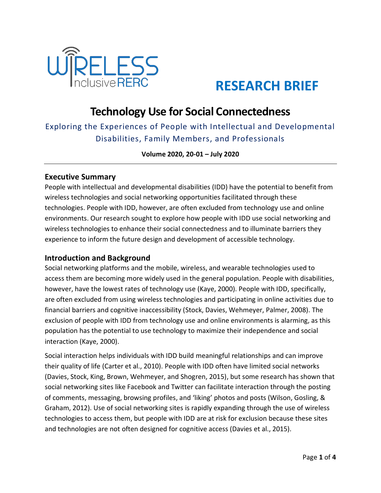

# **RESEARCH BRIEF**

# **Technology Use for Social Connectedness**

Exploring the Experiences of People with Intellectual and Developmental Disabilities, Family Members, and Professionals

**Volume 2020, 20-01 – July 2020**

### **Executive Summary**

People with intellectual and developmental disabilities (IDD) have the potential to benefit from wireless technologies and social networking opportunities facilitated through these technologies. People with IDD, however, are often excluded from technology use and online environments. Our research sought to explore how people with IDD use social networking and wireless technologies to enhance their social connectedness and to illuminate barriers they experience to inform the future design and development of accessible technology.

# **Introduction and Background**

Social networking platforms and the mobile, wireless, and wearable technologies used to access them are becoming more widely used in the general population. People with disabilities, however, have the lowest rates of technology use (Kaye, 2000). People with IDD, specifically, are often excluded from using wireless technologies and participating in online activities due to financial barriers and cognitive inaccessibility (Stock, Davies, Wehmeyer, Palmer, 2008). The exclusion of people with IDD from technology use and online environments is alarming, as this population has the potential to use technology to maximize their independence and social interaction (Kaye, 2000).

Social interaction helps individuals with IDD build meaningful relationships and can improve their quality of life (Carter et al., 2010). People with IDD often have limited social networks (Davies, Stock, King, Brown, Wehmeyer, and Shogren, 2015), but some research has shown that social networking sites like Facebook and Twitter can facilitate interaction through the posting of comments, messaging, browsing profiles, and 'liking' photos and posts (Wilson, Gosling, & Graham, 2012). Use of social networking sites is rapidly expanding through the use of wireless technologies to access them, but people with IDD are at risk for exclusion because these sites and technologies are not often designed for cognitive access (Davies et al., 2015).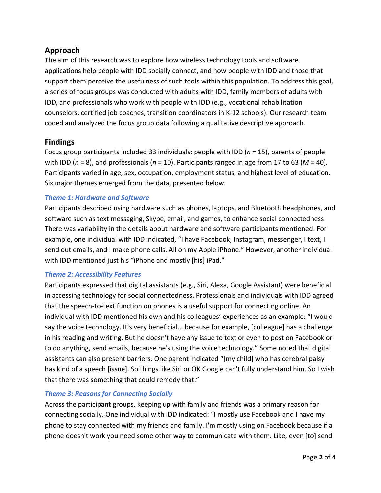# **Approach**

The aim of this research was to explore how wireless technology tools and software applications help people with IDD socially connect, and how people with IDD and those that support them perceive the usefulness of such tools within this population. To address this goal, a series of focus groups was conducted with adults with IDD, family members of adults with IDD, and professionals who work with people with IDD (e.g., vocational rehabilitation counselors, certified job coaches, transition coordinators in K-12 schools). Our research team coded and analyzed the focus group data following a qualitative descriptive approach.

# **Findings**

Focus group participants included 33 individuals: people with IDD (*n* = 15), parents of people with IDD (*n* = 8), and professionals (*n* = 10). Participants ranged in age from 17 to 63 (*M* = 40). Participants varied in age, sex, occupation, employment status, and highest level of education. Six major themes emerged from the data, presented below.

#### *Theme 1: Hardware and Software*

Participants described using hardware such as phones, laptops, and Bluetooth headphones, and software such as text messaging, Skype, email, and games, to enhance social connectedness. There was variability in the details about hardware and software participants mentioned. For example, one individual with IDD indicated, "I have Facebook, Instagram, messenger, I text, I send out emails, and I make phone calls. All on my Apple iPhone." However, another individual with IDD mentioned just his "iPhone and mostly [his] iPad."

#### *Theme 2: Accessibility Features*

Participants expressed that digital assistants (e.g., Siri, Alexa, Google Assistant) were beneficial in accessing technology for social connectedness. Professionals and individuals with IDD agreed that the speech-to-text function on phones is a useful support for connecting online. An individual with IDD mentioned his own and his colleagues' experiences as an example: "I would say the voice technology. It's very beneficial… because for example, [colleague] has a challenge in his reading and writing. But he doesn't have any issue to text or even to post on Facebook or to do anything, send emails, because he's using the voice technology." Some noted that digital assistants can also present barriers. One parent indicated "[my child] who has cerebral palsy has kind of a speech [issue]. So things like Siri or OK Google can't fully understand him. So I wish that there was something that could remedy that."

#### *Theme 3: Reasons for Connecting Socially*

Across the participant groups, keeping up with family and friends was a primary reason for connecting socially. One individual with IDD indicated: "I mostly use Facebook and I have my phone to stay connected with my friends and family. I'm mostly using on Facebook because if a phone doesn't work you need some other way to communicate with them. Like, even [to] send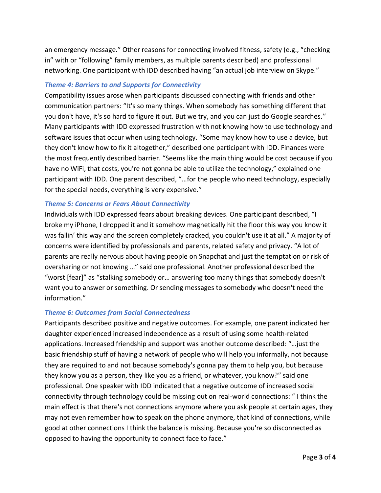an emergency message." Other reasons for connecting involved fitness, safety (e.g., "checking in" with or "following" family members, as multiple parents described) and professional networking. One participant with IDD described having "an actual job interview on Skype."

#### *Theme 4: Barriers to and Supports for Connectivity*

Compatibility issues arose when participants discussed connecting with friends and other communication partners: "It's so many things. When somebody has something different that you don't have, it's so hard to figure it out. But we try, and you can just do Google searches." Many participants with IDD expressed frustration with not knowing how to use technology and software issues that occur when using technology. "Some may know how to use a device, but they don't know how to fix it altogether," described one participant with IDD. Finances were the most frequently described barrier. "Seems like the main thing would be cost because if you have no WiFi, that costs, you're not gonna be able to utilize the technology," explained one participant with IDD. One parent described, "…for the people who need technology, especially for the special needs, everything is very expensive."

#### *Theme 5: Concerns or Fears About Connectivity*

Individuals with IDD expressed fears about breaking devices. One participant described, "I broke my iPhone, I dropped it and it somehow magnetically hit the floor this way you know it was fallin' this way and the screen completely cracked, you couldn't use it at all." A majority of concerns were identified by professionals and parents, related safety and privacy. "A lot of parents are really nervous about having people on Snapchat and just the temptation or risk of oversharing or not knowing …" said one professional. Another professional described the "worst [fear]" as "stalking somebody or… answering too many things that somebody doesn't want you to answer or something. Or sending messages to somebody who doesn't need the information."

#### *Theme 6: Outcomes from Social Connectedness*

Participants described positive and negative outcomes. For example, one parent indicated her daughter experienced increased independence as a result of using some health-related applications. Increased friendship and support was another outcome described: "…just the basic friendship stuff of having a network of people who will help you informally, not because they are required to and not because somebody's gonna pay them to help you, but because they know you as a person, they like you as a friend, or whatever, you know?" said one professional. One speaker with IDD indicated that a negative outcome of increased social connectivity through technology could be missing out on real-world connections: " I think the main effect is that there's not connections anymore where you ask people at certain ages, they may not even remember how to speak on the phone anymore, that kind of connections, while good at other connections I think the balance is missing. Because you're so disconnected as opposed to having the opportunity to connect face to face."